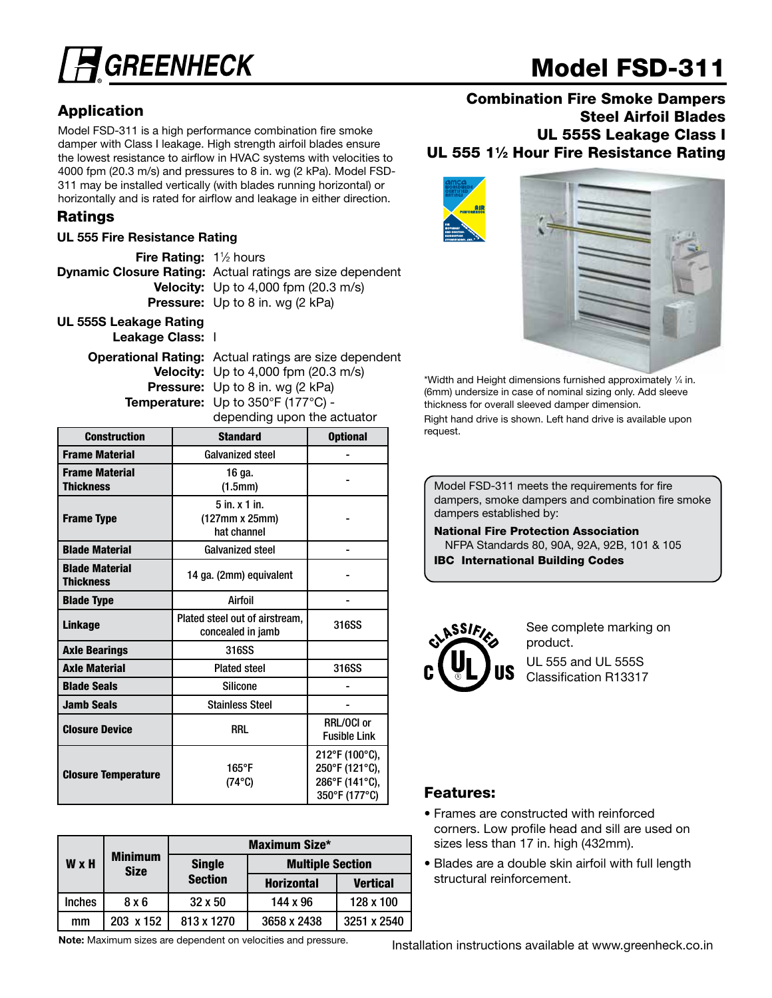

# Model FSD-311

### Application

Model FSD-311 is a high performance combination fire smoke damper with Class I leakage. High strength airfoil blades ensure the lowest resistance to airflow in HVAC systems with velocities to 4000 fpm (20.3 m/s) and pressures to 8 in. wg (2 kPa). Model FSD-311 may be installed vertically (with blades running horizontal) or horizontally and is rated for airflow and leakage in either direction.

#### Ratings

#### UL 555 Fire Resistance Rating

| <b>Fire Rating:</b> $1\frac{1}{2}$ hours |                                                                  |
|------------------------------------------|------------------------------------------------------------------|
|                                          | <b>Dynamic Closure Rating:</b> Actual ratings are size dependent |
|                                          | <b>Velocity:</b> Up to 4,000 fpm $(20.3 \text{ m/s})$            |
|                                          | <b>Pressure:</b> Up to 8 in. wg (2 kPa)                          |
| III, 5558 Leakage Pating                 |                                                                  |

UL 555S Leakage Rating Leakage Class: I

> Operational Rating: Actual ratings are size dependent Velocity: Up to 4,000 fpm (20.3 m/s) Pressure: Up to 8 in. wg (2 kPa) Temperature: Up to 350°F (177°C) -

depending upon the actuator

| <b>Construction</b>                       | <b>Standard</b>                                     | <b>Optional</b>                                                     |  |  |
|-------------------------------------------|-----------------------------------------------------|---------------------------------------------------------------------|--|--|
| <b>Frame Material</b>                     | <b>Galvanized steel</b>                             |                                                                     |  |  |
| <b>Frame Material</b><br><b>Thickness</b> | 16 ga.<br>(1.5mm)                                   |                                                                     |  |  |
| <b>Frame Type</b>                         | $5$ in. $x$ 1 in.<br>(127mm x 25mm)<br>hat channel  |                                                                     |  |  |
| <b>Blade Material</b>                     | <b>Galvanized steel</b>                             |                                                                     |  |  |
| <b>Blade Material</b><br><b>Thickness</b> | 14 ga. (2mm) equivalent                             |                                                                     |  |  |
| <b>Blade Type</b>                         | Airfoil                                             |                                                                     |  |  |
| Linkage                                   | Plated steel out of airstream,<br>concealed in jamb | 316SS                                                               |  |  |
| <b>Axle Bearings</b>                      | 316SS                                               |                                                                     |  |  |
| <b>Axle Material</b>                      | <b>Plated steel</b>                                 | 316SS                                                               |  |  |
| <b>Blade Seals</b>                        | <b>Silicone</b>                                     |                                                                     |  |  |
| <b>Jamb Seals</b>                         | <b>Stainless Steel</b>                              |                                                                     |  |  |
| <b>Closure Device</b>                     | RRL                                                 | RRL/OCI or<br><b>Fusible Link</b>                                   |  |  |
| <b>Closure Temperature</b>                | 165°F<br>$(74^{\circ}C)$                            | 212°F (100°C),<br>250°F (121°C),<br>286°F (141°C),<br>350°F (177°C) |  |  |

|               |                               | <b>Maximum Size*</b> |                         |                 |  |  |  |
|---------------|-------------------------------|----------------------|-------------------------|-----------------|--|--|--|
| <b>W</b> x H  | <b>Minimum</b><br><b>Size</b> | <b>Single</b>        | <b>Multiple Section</b> |                 |  |  |  |
|               |                               | <b>Section</b>       | <b>Horizontal</b>       | <b>Vertical</b> |  |  |  |
| <b>Inches</b> | 8x6                           | $32 \times 50$       | 144 x 96                | 128 x 100       |  |  |  |
| mm            | 203 x 152                     | 813 x 1270           | 3658 x 2438             | 3251 x 2540     |  |  |  |

Note: Maximum sizes are dependent on velocities and pressure.

#### Combination Fire Smoke Dampers Steel Airfoil Blades UL 555S Leakage Class I UL 555 11/2 Hour Fire Resistance Rating



\*Width and Height dimensions furnished approximately 1 ⁄4 in. (6mm) undersize in case of nominal sizing only. Add sleeve thickness for overall sleeved damper dimension. Right hand drive is shown. Left hand drive is available upon request.

Model FSD-311 meets the requirements for fire dampers, smoke dampers and combination fire smoke dampers established by:

National Fire Protection Association NFPA Standards 80, 90A, 92A, 92B, 101 & 105 IBC International Building Codes



See complete marking on product. UL 555 and UL 555S Classification R13317

#### **Features:**

- Frames are constructed with reinforced corners. Low profile head and sill are used on sizes less than 17 in. high (432mm).
- Blades are a double skin airfoil with full length structural reinforcement.

Installation instructions available at www.greenheck.co.in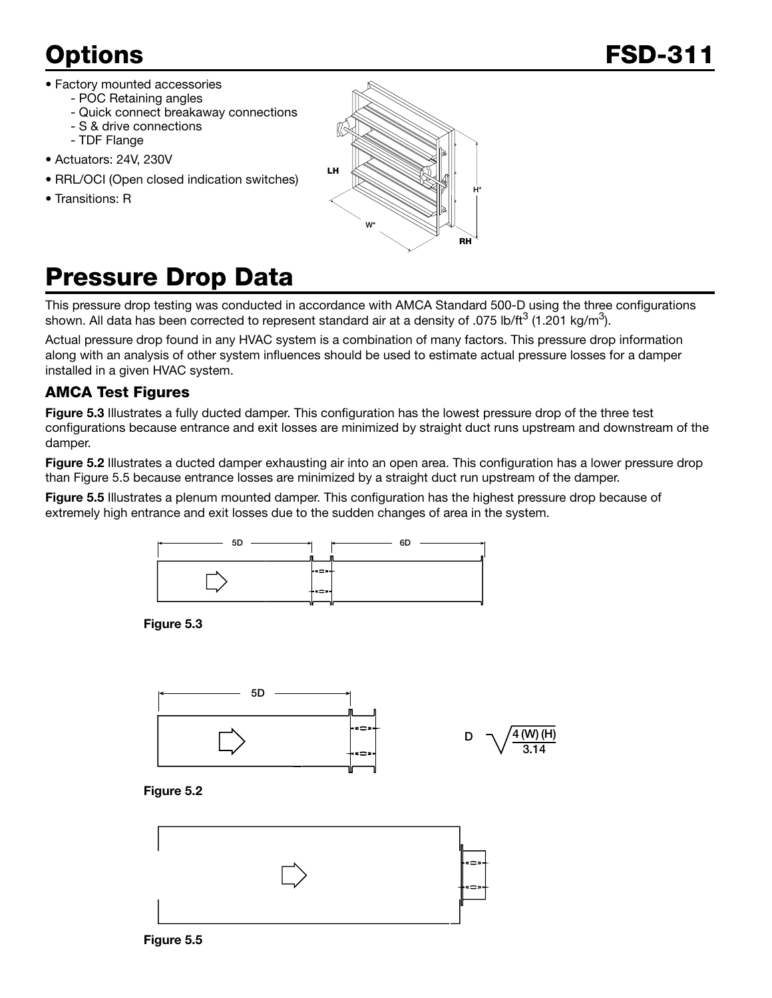- Factory mounted accessories
	- POC Retaining angles
	- Quick connect breakaway connections
	- S & drive connections
	- TDF Flange
- Actuators: 24V, 230V
- RRL/OCI (Open closed indication switches)
- Transitions: R



# Pressure Drop Data

This pressure drop testing was conducted in accordance with AMCA Standard 500-D using the three configurations shown. All data has been corrected to represent standard air at a density of .075 lb/ft<sup>3</sup> (1.201 kg/m<sup>3</sup>).

Actual pressure drop found in any HVAC system is a combination of many factors. This pressure drop information along with an analysis of other system influences should be used to estimate actual pressure losses for a damper installed in a given HVAC system.

### AMCA Test Figures

Figure 5.3 Illustrates a fully ducted damper. This configuration has the lowest pressure drop of the three test configurations because entrance and exit losses are minimized by straight duct runs upstream and downstream of the damper.

Figure 5.2 Illustrates a ducted damper exhausting air into an open area. This configuration has a lower pressure drop than Figure 5.5 because entrance losses are minimized by a straight duct run upstream of the damper.

Figure 5.5 Illustrates a plenum mounted damper. This configuration has the highest pressure drop because of extremely high entrance and exit losses due to the sudden changes of area in the system.



Figure 5.3



Figure 5.2

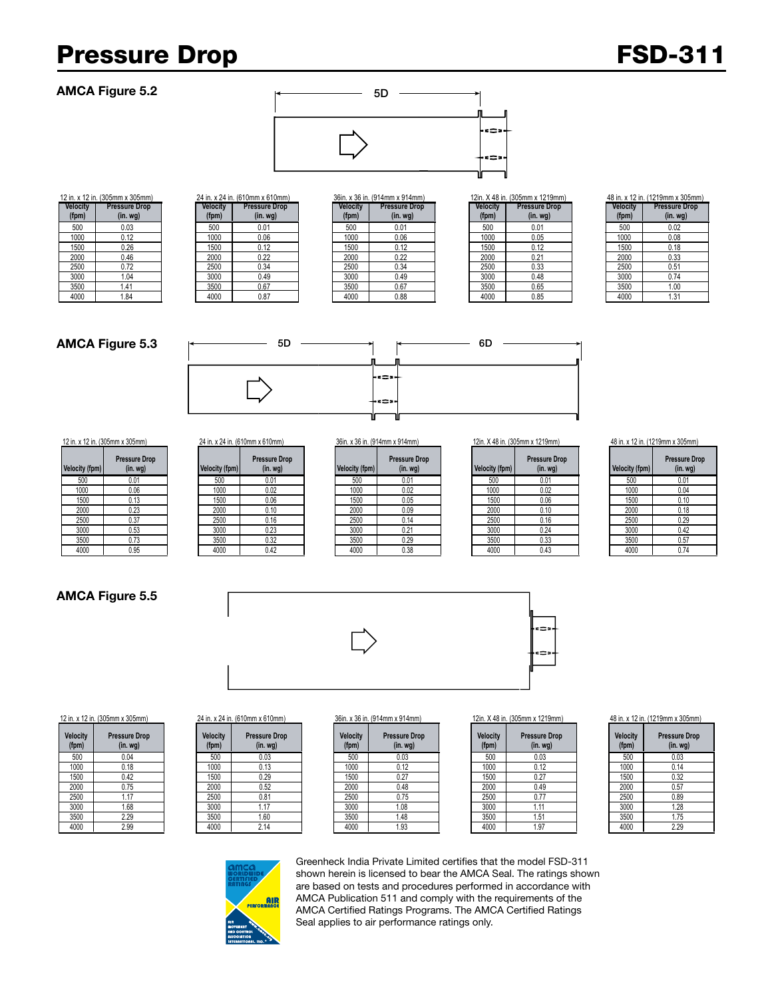## Pressure Drop FSD-311

#### AMCA Figure 5.2



| 12 in. x 12 in. (305mm x 305mm) |                      |  |  |  |  |
|---------------------------------|----------------------|--|--|--|--|
| Velocity                        | <b>Pressure Drop</b> |  |  |  |  |
| (fpm)                           | $(in.$ wg $)$        |  |  |  |  |
| 500                             | 0.03                 |  |  |  |  |
| 1000                            | 0.12                 |  |  |  |  |
| 1500                            | 0.26                 |  |  |  |  |
| 2000                            | 0.46                 |  |  |  |  |
| 2500                            | 0.72                 |  |  |  |  |
| 3000                            | 1.04                 |  |  |  |  |
| 3500                            | 1.41                 |  |  |  |  |
| 4000                            | 1.84                 |  |  |  |  |

| 24 in. x 24 in. (610mm x 610mm) |                                  |  |  |
|---------------------------------|----------------------------------|--|--|
| Velocity<br>(fpm)               | <b>Pressure Drop</b><br>(in. wg) |  |  |
| 500                             | 0.01                             |  |  |
| 1000                            | 0.06                             |  |  |
| 1500                            | 0.12                             |  |  |
| 2000                            | 0.22                             |  |  |
| 2500                            | 0.34                             |  |  |
| 3000                            | 0.49                             |  |  |
| 3500                            | 0.67                             |  |  |
| 4000                            | 0.87                             |  |  |

|         | <b>1. A 12 111. (JUJITHIT A JUJITHIT)</b> |                 | 4 TH. A 4 TH. (V FORMITA V FORMITY |                 | JUILL A JU ILL (JEHIIILI A JEHIIILI) |          | ן בוווה א וווווטטטן. נוו ט <del>ד</del> א ווווווון |          | <b>+ 10 III. A IZ III. (IZ IJIIIIII A</b> |
|---------|-------------------------------------------|-----------------|------------------------------------|-----------------|--------------------------------------|----------|----------------------------------------------------|----------|-------------------------------------------|
| elocity | <b>Pressure Drop</b>                      | <b>Velocity</b> | <b>Pressure Drop</b>               | <b>Velocity</b> | <b>Pressure Drop</b>                 | Velocity | <b>Pressure Drop</b>                               | Velocity | <b>Pressure</b>                           |
| (fpm)   | (in. wg)                                  | (fpm)           | (in. <i>wg</i> )                   | (fpm)           | (in. <i>wg</i> )                     | (fpm)    | (in.wg)                                            | (fpm)    | (in. w                                    |
| 500     | 0.03                                      | 500             | 0.01                               | 500             | 0.01                                 | 500      | 0.01                                               | 500      | 0.02                                      |
| 1000    | 0.12                                      | 1000            | 0.06                               | 1000            | 0.06                                 | 1000     | 0.05                                               | 1000     | 0.08                                      |
| 1500    | 0.26                                      | 1500            | 0.12                               | 1500            | 0.12                                 | 1500     | 0.12                                               | 1500     | 0.18                                      |
| 2000    | 0.46                                      | 2000            | 0.22                               | 2000            | 0.22                                 | 2000     | 0.21                                               | 2000     | 0.33                                      |
| 2500    | 0.72                                      | 2500            | 0.34                               | 2500            | 0.34                                 | 2500     | 0.33                                               | 2500     | 0.51                                      |
| 3000    | 1.04                                      | 3000            | 0.49                               | 3000            | 0.49                                 | 3000     | 0.48                                               | 3000     | 0.74                                      |
| 3500    | 1.41                                      | 3500            | 0.67                               | 3500            | 0.67                                 | 3500     | 0.65                                               | 3500     | 1.00                                      |
| 4000    | 1.84                                      | 4000            | 0.87                               | 4000            | 0.88                                 | 4000     | 0.85                                               | 4000     | 1.31                                      |

|                       | . x 36 in. (914mm x 914mm)            |                   | 12in. X 48 in. (305mm x 1219mm)    |                          | 48 in. x 12 in. (1219mm x 305mm)      |
|-----------------------|---------------------------------------|-------------------|------------------------------------|--------------------------|---------------------------------------|
| <b>locity</b><br>fpm) | <b>Pressure Drop</b><br>$(in.$ wg $)$ | Velocity<br>(fpm) | <b>Pressure Drop</b><br>$(in. wq)$ | <b>Velocity</b><br>(fpm) | <b>Pressure Drop</b><br>$(in.$ wg $)$ |
| 500                   | 0.01                                  | 500               | 0.01                               | 500                      | 0.02                                  |
| 1000                  | 0.06                                  | 1000              | 0.05                               | 1000                     | 0.08                                  |
| 1500                  | 0.12                                  | 1500              | 0.12                               | 1500                     | 0.18                                  |
| 2000                  | 0.22                                  | 2000              | 0.21                               | 2000                     | 0.33                                  |
| 2500                  | 0.34                                  | 2500              | 0.33                               | 2500                     | 0.51                                  |
| 3000                  | 0.49                                  | 3000              | 0.48                               | 3000                     | 0.74                                  |
| 3500                  | 0.67                                  | 3500              | 0.65                               | 3500                     | 1.00                                  |
| 4000                  | 0.88                                  | 4000              | 0.85                               | 4000                     | 1.31                                  |

| Velocity<br>(fpm) | <b>Pressure Drop</b><br>$(in.$ wg $)$ |
|-------------------|---------------------------------------|
| 500               | 0.02                                  |
| 1000              | 0.08                                  |
| 1500              | 0.18                                  |
| 2000              | 0.33                                  |
| 2500              | 0.51                                  |
| 3000              | 0.74                                  |
| 3500              | 1.00                                  |
|                   |                                       |

#### AMCA Figure 5.3



| <b>Velocity (fpm)</b> | <b>Pressure Drop</b><br>$(in.$ wg $)$ |
|-----------------------|---------------------------------------|
| 500                   | 0.01                                  |
| 1000                  | 0.06                                  |
| 1500                  | 0.13                                  |
| 2000                  | 0.23                                  |
| 2500                  | 0.37                                  |
| 3000                  | 0.53                                  |
| 3500                  | 0.73                                  |

| city (fpm) | <b>Pressure Drop</b><br>(in. <i>wg</i> ) | Velocity (fpm) | <b>Pressure Drop</b><br>(in. <i>wg</i> ) | Velocity (fpm) | <b>Pressure Drop</b><br>(in. <i>wg</i> ) | Velocity (fpm) | <b>Pressure Drop</b><br>(in. <i>wg</i> ) | Velocity (fpm) | Pressure<br>(in. v |
|------------|------------------------------------------|----------------|------------------------------------------|----------------|------------------------------------------|----------------|------------------------------------------|----------------|--------------------|
| 500        | 0.01                                     | 500            | 0.01                                     | 500            | 0.01                                     | 500            | 0.01                                     | 500            | 0.01               |
| 1000       | 0.06                                     | 1000           | 0.02                                     | 1000           | 0.02                                     | 1000           | 0.02                                     | 1000           | 0.04               |
| 1500       | 0.13                                     | 1500           | 0.06                                     | 1500           | 0.05                                     | 1500           | 0.06                                     | 1500           | 0.10               |
| 2000       | 0.23                                     | 2000           | 0.10                                     | 2000           | 0.09                                     | 2000           | 0.10                                     | 2000           | 0.18               |
| 2500       | 0.37                                     | 2500           | 0.16                                     | 2500           | 0.14                                     | 2500           | 0.16                                     | 2500           | 0.29               |
| 3000       | 0.53                                     | 3000           | 0.23                                     | 3000           | 0.21                                     | 3000           | 0.24                                     | 3000           | 0.42               |
| 3500       | 0.73                                     | 3500           | 0.32                                     | 3500           | 0.29                                     | 3500           | 0.33                                     | 3500           | 0.57               |
| 4000       | 0.95                                     | 4000           | 0.42                                     | 4000           | 0.38                                     | 4000           | 0.43                                     | 4000           | 0.74               |
|            |                                          |                |                                          |                |                                          |                |                                          |                |                    |

# **Pressure Drop**

| Velocity (fpm) | <b>Pressure Drop</b><br>(in. <i>wg</i> ) |
|----------------|------------------------------------------|
| 500            | 0.01                                     |
| 1000           | 0.02                                     |
| 1500           | 0.06                                     |
| 2000           | 0.10                                     |
| 2500           | 0.16                                     |
| 3000           | 0.24                                     |
| 3500           | 0.33                                     |
| 4000           | 0.43                                     |

12 in. x 12 in. (305mm x 305mm) 24 in. x 24 in. (610mm x 610mm) 36in. x 36 in. (914mm x 914mm) 12in. X 48 in. (305mm x 1219mm) 48 in. x 12 in. (1219mm x 305mm)

| ssure Drop<br>(in. wg) | Velocity (fpm) | <b>Pressure Drop</b><br>$(in.$ wg $)$ |
|------------------------|----------------|---------------------------------------|
| 0.01                   | 500            | 0.01                                  |
| 0.02                   | 1000           | 0.04                                  |
| 0.06                   | 1500           | 0.10                                  |
| 0.10                   | 2000           | 0.18                                  |
| 0.16                   | 2500           | 0.29                                  |
| 0.24                   | 3000           | 0.42                                  |
| 0.33                   | 3500           | 0.57                                  |
| 0.43                   | 4000           | 0.74                                  |

### AMCA Figure 5.5





| <b>Velocity</b><br>(fpm) | <b>Pressure Drop</b><br>$(in.$ wg $)$ |
|--------------------------|---------------------------------------|
| 500                      | 0.04                                  |
| 1000                     | 0.18                                  |
| 1500                     | 0.42                                  |
| 2000                     | 0.75                                  |
| 2500                     | 1.17                                  |
| 3000                     | 1.68                                  |
| 3500                     | 2.29                                  |
| 4000                     | 2.99                                  |

| <b>Pressure Drop</b><br>$(in.$ wg $)$ | Velocity<br>(fpm) |
|---------------------------------------|-------------------|
| 0.03                                  | 500               |
| 0.13                                  | 1000              |
| 0.29                                  | 1500              |
| 0.52                                  | 2000              |
| 0.81                                  | 2500              |
| 1.17                                  | 3000              |
| 1.60                                  | 3500              |
| 2.14                                  | 4000              |
|                                       |                   |

| <b>elocity</b><br>(fpm) | <b>Pressure Drop</b><br>(in. <i>wg</i> ) | <b>Velocity</b><br>(fpm) | <b>Pressure Drop</b><br>(in. <i>wg</i> ) | Velocity<br>(fpm) | <b>Pressure Drop</b><br>(in. <i>wg</i> ) | Velocity<br>(fpm) | <b>Pressure Drop</b><br>(in. <i>wg</i> ) | <b>Velocity</b><br>(fpm) | Pressure<br>(in. w |
|-------------------------|------------------------------------------|--------------------------|------------------------------------------|-------------------|------------------------------------------|-------------------|------------------------------------------|--------------------------|--------------------|
| 500                     | 0.04                                     | 500                      | 0.03                                     | 500               | 0.03                                     | 500               | 0.03                                     | 500                      | 0.03               |
| 1000                    | 0.18                                     | 1000                     | 0.13                                     | 1000              | 0.12                                     | 1000              | 0.12                                     | 1000                     | 0.14               |
| 1500                    | 0.42                                     | 1500                     | 0.29                                     | 1500              | 0.27                                     | 1500              | 0.27                                     | 1500                     | 0.32               |
| 2000                    | 0.75                                     | 2000                     | 0.52                                     | 2000              | 0.48                                     | 2000              | 0.49                                     | 2000                     | 0.57               |
| 2500                    | .17                                      | 2500                     | 0.81                                     | 2500              | 0.75                                     | 2500              | 0.77                                     | 2500                     | 0.89               |
| 3000                    | 1.68                                     | 3000                     | 1.17                                     | 3000              | 1.08                                     | 3000              | 1.11                                     | 3000                     | 1.28               |
| 3500                    | 2.29                                     | 3500                     | 1.60                                     | 3500              | 1.48                                     | 3500              | .51                                      | 3500                     | 1.75               |
| 4000                    | 2.99                                     | 4000                     | 2.14                                     | 4000              | 1.93                                     | 4000              | 1.97                                     | 4000                     | 2.29               |
|                         |                                          |                          |                                          |                   |                                          |                   |                                          |                          |                    |

#### 12 in. x 12 in. (305mm x 305mm) 24 in. x 24 in. (610mm x 610mm) 36in. x 36 in. (914mm x 914mm) 12in. X 48 in. (305mm x 1219mm) 48 in. x 12 in. (1219mm x 305mm)

| <b>Velocity</b><br>(fpm) | <b>Pressure Drop</b><br>$(in.$ wg $)$ |
|--------------------------|---------------------------------------|
| 500                      | 0.03                                  |
| 1000                     | 0.14                                  |
| 1500                     | 0.32                                  |
| 2000                     | 0.57                                  |
| 2500                     | 0.89                                  |
| 3000                     | 1.28                                  |
| 3500                     | 1.75                                  |
| 4000                     | 2.29                                  |



Greenheck India Private Limited certifies that the model FSD-311 shown herein is licensed to bear the AMCA Seal. The ratings shown are based on tests and procedures performed in accordance with AMCA Publication 511 and comply with the requirements of the AMCA Certified Ratings Programs. The AMCA Certified Ratings Seal applies to air performance ratings only.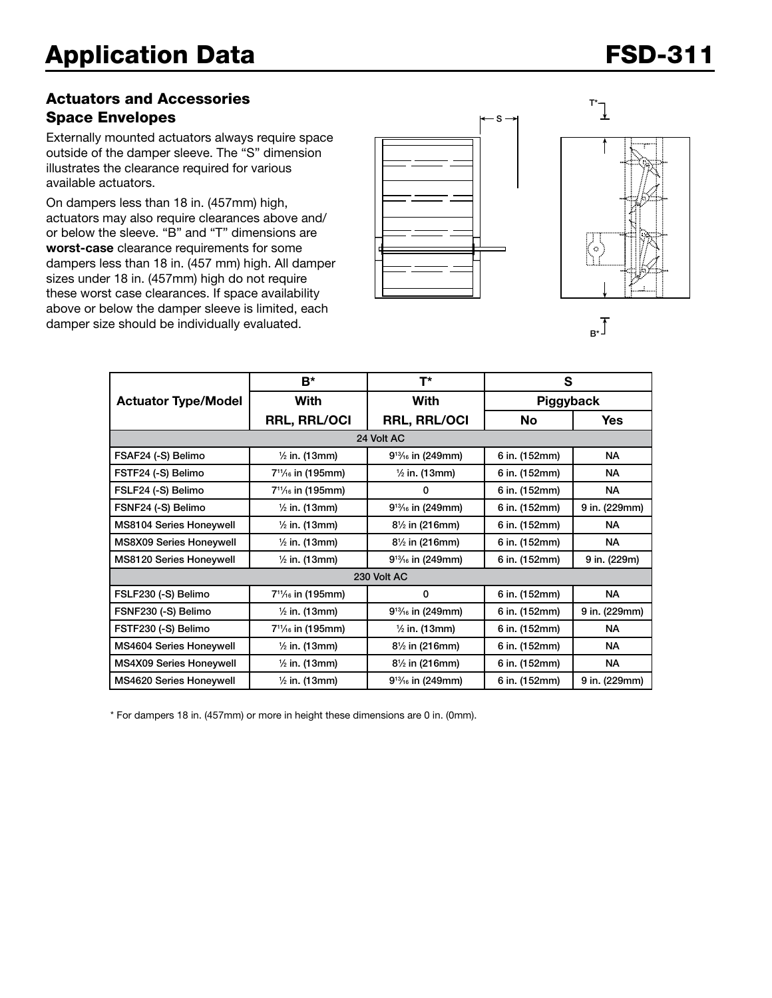### Actuators and Accessories Space Envelopes

Externally mounted actuators always require space outside of the damper sleeve. The "S" dimension illustrates the clearance required for various available actuators.

On dampers less than 18 in. (457mm) high, actuators may also require clearances above and/ or below the sleeve. "B" and "T" dimensions are worst-case clearance requirements for some dampers less than 18 in. (457 mm) high. All damper sizes under 18 in. (457mm) high do not require these worst case clearances. If space availability above or below the damper sleeve is limited, each damper size should be individually evaluated.







|                                | B*                                         | T*                        | S             |               |  |  |  |  |
|--------------------------------|--------------------------------------------|---------------------------|---------------|---------------|--|--|--|--|
| <b>Actuator Type/Model</b>     | With                                       | With                      | Piggyback     |               |  |  |  |  |
|                                | <b>RRL, RRL/OCI</b>                        | <b>RRL, RRL/OCI</b>       | <b>No</b>     | Yes           |  |  |  |  |
| 24 Volt AC                     |                                            |                           |               |               |  |  |  |  |
| FSAF24 (-S) Belimo             | $\frac{1}{2}$ in. (13mm)                   | $9^{13}/_{16}$ in (249mm) | 6 in. (152mm) | <b>NA</b>     |  |  |  |  |
| FSTF24 (-S) Belimo             | 7 <sup>11</sup> / <sub>16</sub> in (195mm) | $\frac{1}{2}$ in. (13mm)  | 6 in. (152mm) | <b>NA</b>     |  |  |  |  |
| FSLF24 (-S) Belimo             | 7 <sup>11</sup> / <sub>16</sub> in (195mm) | 0                         | 6 in. (152mm) | <b>NA</b>     |  |  |  |  |
| FSNF24 (-S) Belimo             | $\frac{1}{2}$ in. (13mm)                   | $9^{13}/_{16}$ in (249mm) | 6 in. (152mm) | 9 in. (229mm) |  |  |  |  |
| MS8104 Series Honeywell        | $\frac{1}{2}$ in. (13mm)                   | $8\frac{1}{2}$ in (216mm) | 6 in. (152mm) | <b>NA</b>     |  |  |  |  |
| <b>MS8X09 Series Honeywell</b> | $\frac{1}{2}$ in. (13mm)                   | $8\frac{1}{2}$ in (216mm) | 6 in. (152mm) | NA.           |  |  |  |  |
| MS8120 Series Honeywell        | $\frac{1}{2}$ in. (13mm)                   | $9^{13}/_{16}$ in (249mm) | 6 in. (152mm) | 9 in. (229m)  |  |  |  |  |
| 230 Volt AC                    |                                            |                           |               |               |  |  |  |  |
| FSLF230 (-S) Belimo            | $7^{11}/_{16}$ in (195mm)                  | 0                         | 6 in. (152mm) | <b>NA</b>     |  |  |  |  |
| FSNF230 (-S) Belimo            | $\frac{1}{2}$ in. (13mm)                   | $9^{13}/_{16}$ in (249mm) | 6 in. (152mm) | 9 in. (229mm) |  |  |  |  |
| FSTF230 (-S) Belimo            | 7 <sup>11</sup> / <sub>16</sub> in (195mm) | $\frac{1}{2}$ in. (13mm)  | 6 in. (152mm) | <b>NA</b>     |  |  |  |  |
| MS4604 Series Honeywell        | $\frac{1}{2}$ in. (13mm)                   | $8\frac{1}{2}$ in (216mm) | 6 in. (152mm) | <b>NA</b>     |  |  |  |  |
| <b>MS4X09 Series Honeywell</b> | $\frac{1}{2}$ in. (13mm)                   | $8\frac{1}{2}$ in (216mm) | 6 in. (152mm) | <b>NA</b>     |  |  |  |  |
| MS4620 Series Honeywell        | $\frac{1}{2}$ in. (13mm)                   | $9^{13}/_{16}$ in (249mm) | 6 in. (152mm) | 9 in. (229mm) |  |  |  |  |

\* For dampers 18 in. (457mm) or more in height these dimensions are 0 in. (0mm).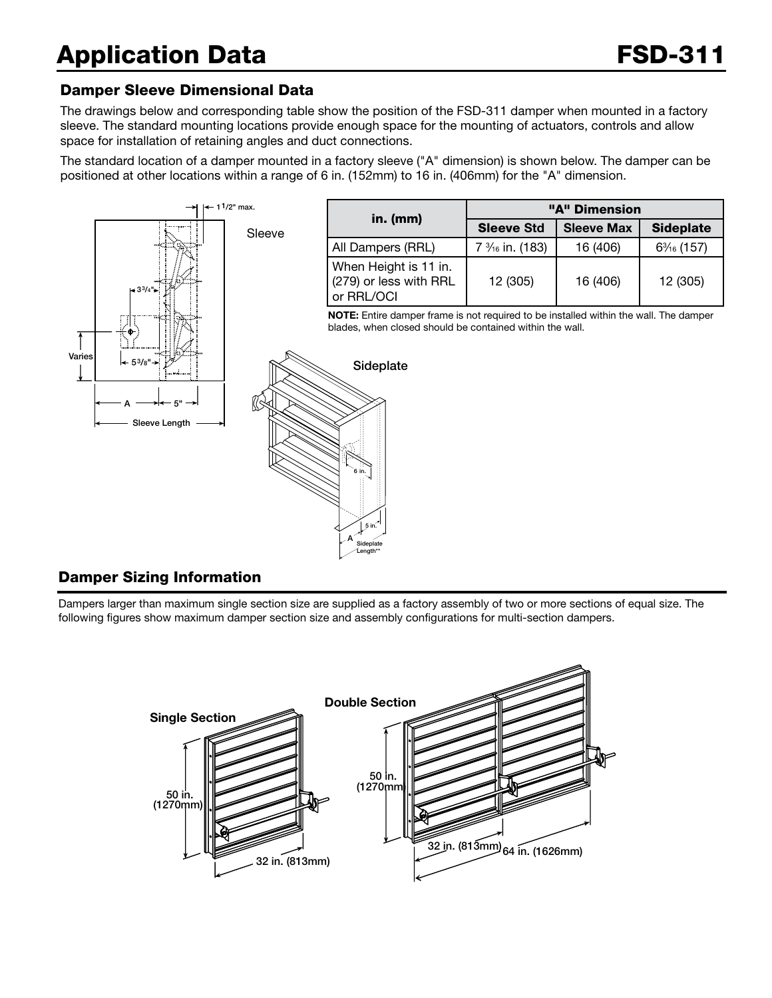# Application Data **FSD-311**

#### Damper Sleeve Dimensional Data

The drawings below and corresponding table show the position of the FSD-311 damper when mounted in a factory sleeve. The standard mounting locations provide enough space for the mounting of actuators, controls and allow space for installation of retaining angles and duct connections.

The standard location of a damper mounted in a factory sleeve ("A" dimension) is shown below. The damper can be positioned at other locations within a range of 6 in. (152mm) to 16 in. (406mm) for the "A" dimension.



#### Damper Sizing Information

Dampers larger than maximum single section size are supplied as a factory assembly of two or more sections of equal size. The following figures show maximum damper section size and assembly configurations for multi-section dampers.